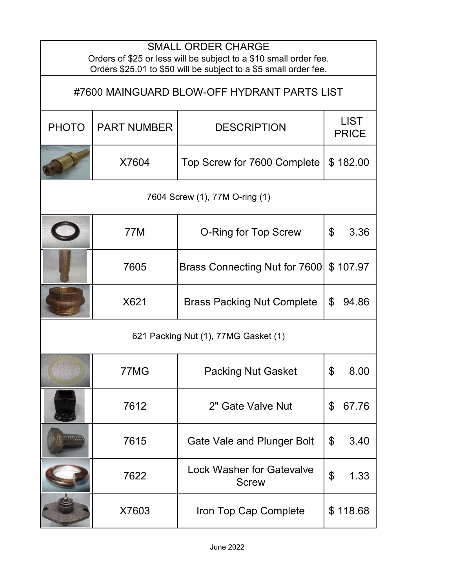| <b>SMALL ORDER CHARGE</b><br>Orders of \$25 or less will be subject to a \$10 small order fee.<br>Orders \$25.01 to \$50 will be subject to a \$5 small order fee. |                    |                                                  |                                   |  |  |  |
|--------------------------------------------------------------------------------------------------------------------------------------------------------------------|--------------------|--------------------------------------------------|-----------------------------------|--|--|--|
| #7600 MAINGUARD BLOW-OFF HYDRANT PARTS LIST                                                                                                                        |                    |                                                  |                                   |  |  |  |
| <b>PHOTO</b>                                                                                                                                                       | <b>PART NUMBER</b> | <b>DESCRIPTION</b>                               | <b>LIST</b><br><b>PRICE</b>       |  |  |  |
|                                                                                                                                                                    | X7604              | Top Screw for 7600 Complete                      | \$182.00                          |  |  |  |
| 7604 Screw (1), 77M O-ring (1)                                                                                                                                     |                    |                                                  |                                   |  |  |  |
|                                                                                                                                                                    | 77M                | <b>O-Ring for Top Screw</b>                      | $\boldsymbol{\mathsf{S}}$<br>3.36 |  |  |  |
|                                                                                                                                                                    | 7605               | Brass Connecting Nut for 7600                    | \$107.97                          |  |  |  |
|                                                                                                                                                                    | X621               | <b>Brass Packing Nut Complete</b>                | \$<br>94.86                       |  |  |  |
| 621 Packing Nut (1), 77MG Gasket (1)                                                                                                                               |                    |                                                  |                                   |  |  |  |
|                                                                                                                                                                    | 77MG               | <b>Packing Nut Gasket</b>                        | \$<br>8.00                        |  |  |  |
|                                                                                                                                                                    | 7612               | 2" Gate Valve Nut                                | \$<br>67.76                       |  |  |  |
|                                                                                                                                                                    | 7615               | Gate Vale and Plunger Bolt                       | \$<br>3.40                        |  |  |  |
|                                                                                                                                                                    | 7622               | <b>Lock Washer for Gatevalve</b><br><b>Screw</b> | $\mathfrak{F}$<br>1.33            |  |  |  |
|                                                                                                                                                                    | X7603              | Iron Top Cap Complete                            | \$118.68                          |  |  |  |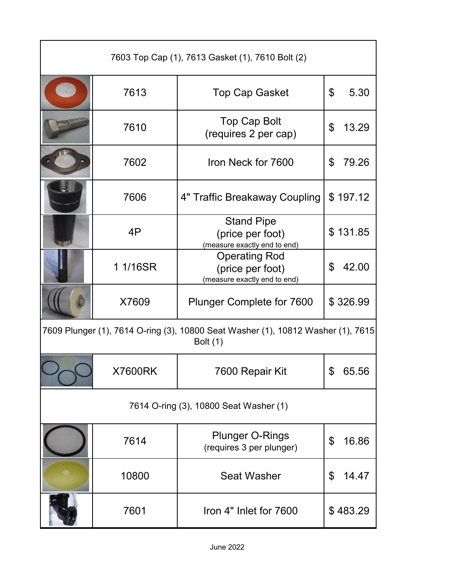| 7603 Top Cap (1), 7613 Gasket (1), 7610 Bolt (2)                                                    |                |                                                                          |             |  |  |
|-----------------------------------------------------------------------------------------------------|----------------|--------------------------------------------------------------------------|-------------|--|--|
|                                                                                                     | 7613           | <b>Top Cap Gasket</b>                                                    | 5.30<br>\$  |  |  |
|                                                                                                     | 7610           | Top Cap Bolt<br>(requires 2 per cap)                                     | \$<br>13.29 |  |  |
|                                                                                                     | 7602           | Iron Neck for 7600                                                       | 79.26<br>\$ |  |  |
|                                                                                                     | 7606           | 4" Traffic Breakaway Coupling                                            | \$197.12    |  |  |
|                                                                                                     | 4P             | <b>Stand Pipe</b><br>(price per foot)<br>(measure exactly end to end)    | \$131.85    |  |  |
|                                                                                                     | 1 1/16SR       | <b>Operating Rod</b><br>(price per foot)<br>(measure exactly end to end) | 42.00<br>\$ |  |  |
|                                                                                                     | X7609          | <b>Plunger Complete for 7600</b>                                         | \$326.99    |  |  |
| 7609 Plunger (1), 7614 O-ring (3), 10800 Seat Washer (1), 10812 Washer (1), 7615<br><b>Bolt</b> (1) |                |                                                                          |             |  |  |
|                                                                                                     | <b>X7600RK</b> | 7600 Repair Kit                                                          | 65.56<br>\$ |  |  |
| 7614 O-ring (3), 10800 Seat Washer (1)                                                              |                |                                                                          |             |  |  |
|                                                                                                     | 7614           | <b>Plunger O-Rings</b><br>(requires 3 per plunger)                       | 16.86<br>\$ |  |  |
|                                                                                                     | 10800          | <b>Seat Washer</b>                                                       | 14.47<br>\$ |  |  |
|                                                                                                     | 7601           | Iron 4" Inlet for 7600                                                   | \$483.29    |  |  |